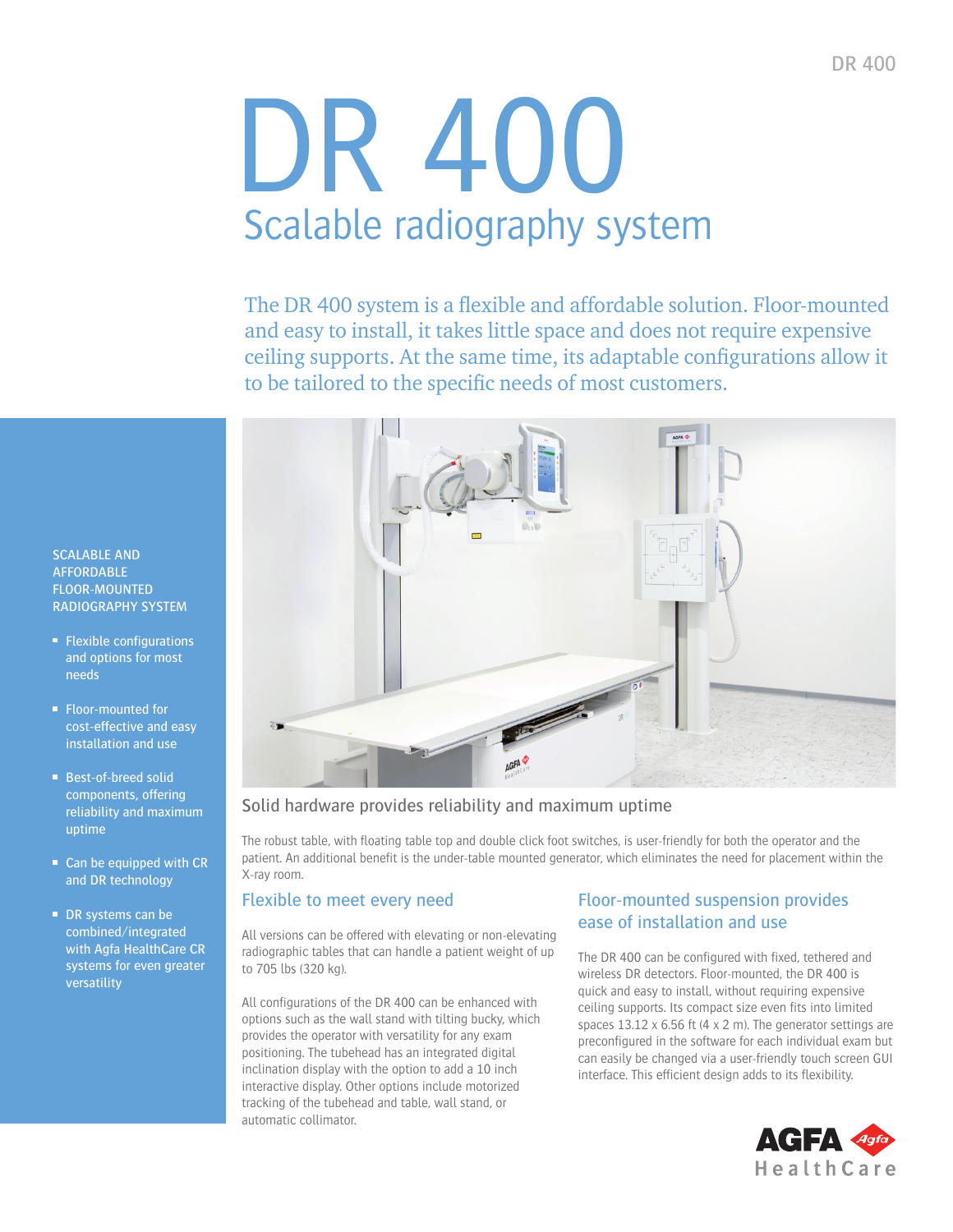# DR 400 Scalable radiography system

The DR 400 system is a flexible and affordable solution. Floor-mounted and easy to install, it takes little space and does not require expensive ceiling supports. At the same time, its adaptable confgurations allow it to be tailored to the specific needs of most customers.



#### Solid hardware provides reliability and maximum uptime

The robust table, with foating table top and double click foot switches, is user-friendly for both the operator and the patient. An additional benefit is the under-table mounted generator, which eliminates the need for placement within the X-ray room.

#### Flexible to meet every need

All versions can be offered with elevating or non-elevating radiographic tables that can handle a patient weight of up to 705 lbs (320 kg).

All confgurations of the DR 400 can be enhanced with options such as the wall stand with tilting bucky, which provides the operator with versatility for any exam positioning. The tubehead has an integrated digital inclination display with the option to add a 10 inch interactive display. Other options include motorized tracking of the tubehead and table, wall stand, or automatic collimator.

#### Floor-mounted suspension provides ease of installation and use

The DR 400 can be configured with fixed, tethered and wireless DR detectors. Floor-mounted, the DR 400 is quick and easy to install, without requiring expensive ceiling supports. Its compact size even fits into limited spaces 13.12 x 6.56 ft (4 x 2 m). The generator settings are preconfigured in the software for each individual exam but can easily be changed via a user-friendly touch screen GUI interface. This efficient design adds to its flexibility.



SCALABLE AND **AFFORDABLE** FLOOR-MOUNTED RADIOGRAPHY SYSTEM

- $\blacksquare$  Flexible configurations and options for most needs
- Floor-mounted for cost-effective and easy installation and use
- Best-of-breed solid components, offering reliability and maximum uptime
- Can be equipped with CR and DR technology
- DR systems can be combined/integrated with Agfa HealthCare CR systems for even greater versatility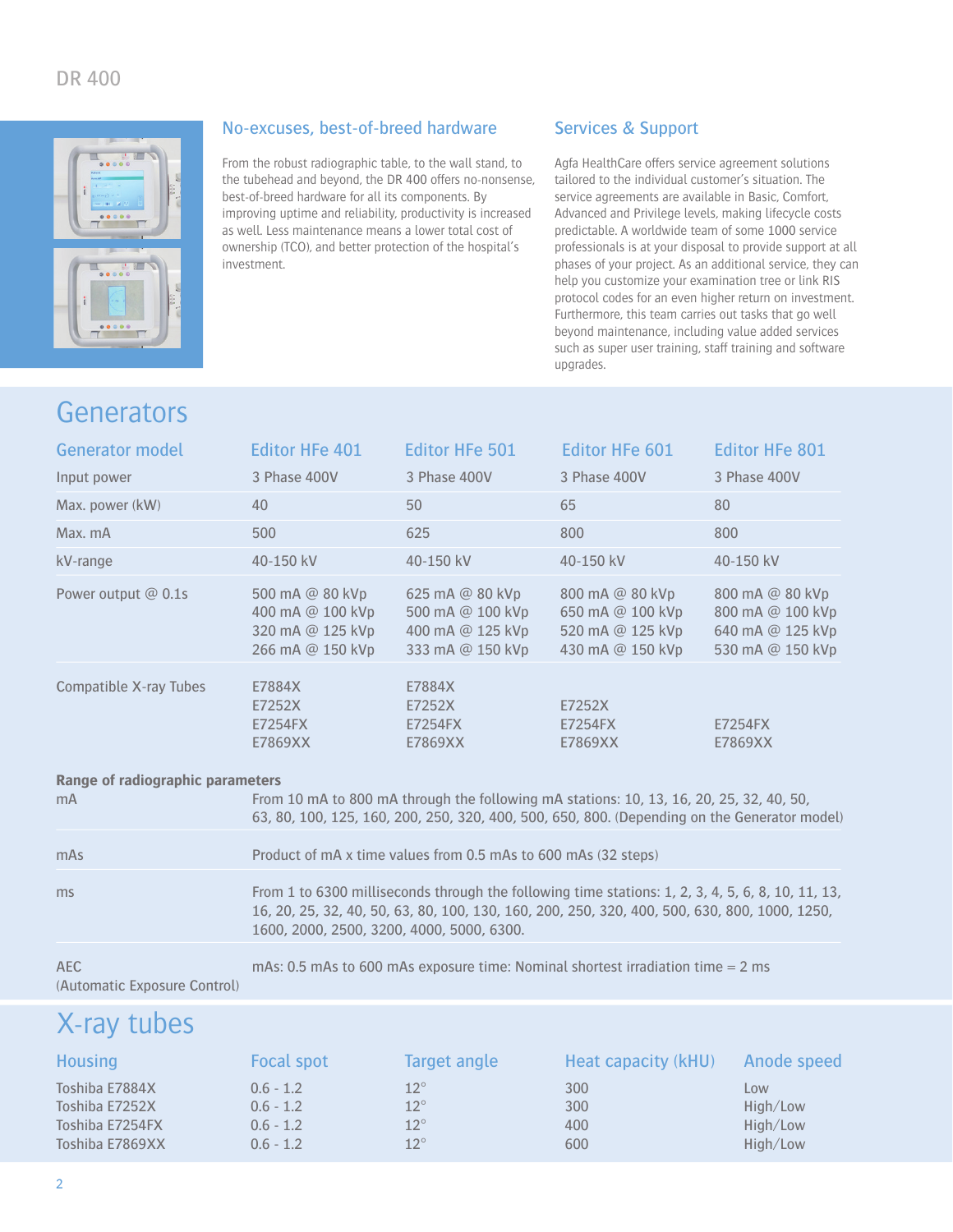

#### No-excuses, best-of-breed hardware

From the robust radiographic table, to the wall stand, to the tubehead and beyond, the DR 400 offers no-nonsense, best-of-breed hardware for all its components. By improving uptime and reliability, productivity is increased as well. Less maintenance means a lower total cost of ownership (TCO), and better protection of the hospital's investment.

#### Services & Support

Agfa HealthCare offers service agreement solutions tailored to the individual customer's situation. The service agreements are available in Basic, Comfort, Advanced and Privilege levels, making lifecycle costs predictable. A worldwide team of some 1000 service professionals is at your disposal to provide support at all phases of your project. As an additional service, they can help you customize your examination tree or link RIS protocol codes for an even higher return on investment. Furthermore, this team carries out tasks that go well beyond maintenance, including value added services such as super user training, staff training and software upgrades.

### Generators

| <b>Generator model</b>           | <b>Editor HFe 401</b>                                                                                                                                                                   | <b>Editor HFe 501</b>                                                       | <b>Editor HFe 601</b>                                                       | <b>Editor HFe 801</b>                                                       |  |  |
|----------------------------------|-----------------------------------------------------------------------------------------------------------------------------------------------------------------------------------------|-----------------------------------------------------------------------------|-----------------------------------------------------------------------------|-----------------------------------------------------------------------------|--|--|
| Input power                      | 3 Phase 400V                                                                                                                                                                            | 3 Phase 400V                                                                | 3 Phase 400V                                                                | 3 Phase 400V                                                                |  |  |
| Max. power (kW)                  | 40                                                                                                                                                                                      | 50                                                                          | 65                                                                          | 80                                                                          |  |  |
| Max. mA                          | 500                                                                                                                                                                                     | 625                                                                         | 800                                                                         | 800                                                                         |  |  |
| kV-range                         | 40-150 kV                                                                                                                                                                               | 40-150 kV                                                                   | 40-150 kV                                                                   | 40-150 kV                                                                   |  |  |
| Power output $@$ 0.1s            | 500 mA @ 80 kVp<br>400 mA @ 100 kVp<br>320 mA @ 125 kVp<br>266 mA @ 150 kVp                                                                                                             | 625 mA @ 80 kVp<br>500 mA @ 100 kVp<br>400 mA @ 125 kVp<br>333 mA @ 150 kVp | 800 mA @ 80 kVp<br>650 mA @ 100 kVp<br>520 mA @ 125 kVp<br>430 mA @ 150 kVp | 800 mA @ 80 kVp<br>800 mA @ 100 kVp<br>640 mA @ 125 kVp<br>530 mA @ 150 kVp |  |  |
| Compatible X-ray Tubes           | E7884X<br>E7252X<br>E7254FX<br>E7869XX                                                                                                                                                  | E7884X<br>E7252X<br>E7254FX<br>E7869XX                                      | E7252X<br>E7254FX<br>E7869XX                                                | E7254FX<br>E7869XX                                                          |  |  |
| Range of radiographic parameters |                                                                                                                                                                                         |                                                                             |                                                                             |                                                                             |  |  |
| m <sub>A</sub>                   | From 10 mA to 800 mA through the following mA stations: 10, 13, 16, 20, 25, 32, 40, 50,<br>63, 80, 100, 125, 160, 200, 250, 320, 400, 500, 650, 800. (Depending on the Generator model) |                                                                             |                                                                             |                                                                             |  |  |
| mAs                              | Product of mA x time values from 0.5 mAs to 600 mAs (32 steps)                                                                                                                          |                                                                             |                                                                             |                                                                             |  |  |
| ms                               | From 1 to 6300 milliseconds through the following time stations: 1, 2, 3, 4, 5, 6, 8, 10, 11, 13,                                                                                       |                                                                             |                                                                             |                                                                             |  |  |

AEC mAs: 0.5 mAs to 600 mAs exposure time: Nominal shortest irradiation time = 2 ms (Automatic Exposure Control)

1600, 2000, 2500, 3200, 4000, 5000, 6300.

16, 20, 25, 32, 40, 50, 63, 80, 100, 130, 160, 200, 250, 320, 400, 500, 630, 800, 1000, 1250,

## X-ray tubes

| <b>Housing</b>  | <b>Focal spot</b> | Target angle | Heat capacity (kHU) | Anode speed |
|-----------------|-------------------|--------------|---------------------|-------------|
| Toshiba E7884X  | $0.6 - 1.2$       | $12^{\circ}$ | 300                 | Low         |
| Toshiba E7252X  | $0.6 - 1.2$       | $12^{\circ}$ | 300                 | High/Low    |
| Toshiba E7254FX | $0.6 - 1.2$       | $12^{\circ}$ | 400                 | High/Low    |
| Toshiba E7869XX | $0.6 - 1.2$       | $12^{\circ}$ | 600                 | High/Low    |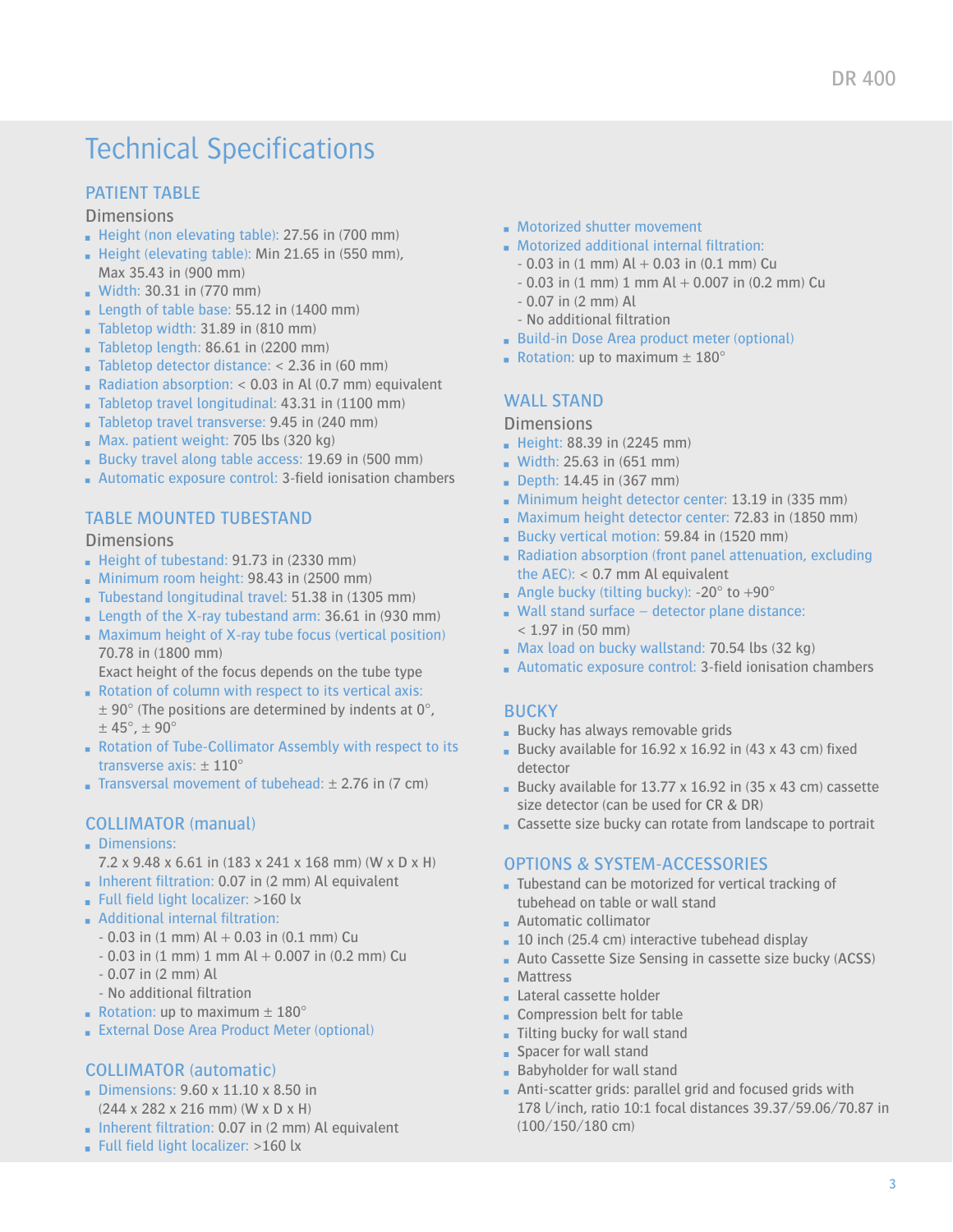## **Technical Specifications**

#### PATIENT TABLE

**Dimensions** 

- Height (non elevating table): 27.56 in (700 mm)
- Height (elevating table): Min  $21.65$  in (550 mm), Max 35.43 in (900 mm)
- **Width: 30.31 in (770 mm)**
- **Length of table base: 55.12 in**  $(1400 \text{ mm})$
- $\blacksquare$  Tabletop width: 31.89 in (810 mm)
- Tabletop length: 86.61 in (2200 mm)
- **Tabletop detector distance:**  $<$  2.36 in (60 mm)
- Radiation absorption: < 0.03 in Al (0.7 mm) equivalent
- Tabletop travel longitudinal: 43.31 in (1100 mm)
- Tabletop travel transverse: 9.45 in (240 mm)
- Max. patient weight: 705 lbs (320 kg)
- Bucky travel along table access: 19.69 in (500 mm)
- **Automatic exposure control: 3-field ionisation chambers**

#### TABLE MOUNTED TUBESTAND

#### **Dimensions**

- Height of tubestand: 91.73 in (2330 mm)
- **Minimum room height: 98.43 in (2500 mm)**
- Tubestand longitudinal travel: 51.38 in (1305 mm)
- **Length of the X-ray tubestand arm: 36.61 in (930 mm)**
- Maximum height of X-ray tube focus (vertical position) 70.78 in (1800 mm)
- Exact height of the focus depends on the tube type Rotation of column with respect to its vertical axis:
- $\pm$  90° (The positions are determined by indents at 0°,  $\pm$  45°,  $\pm$  90°
- Rotation of Tube-Collimator Assembly with respect to its transverse axis: ± 110°
- **Transversal movement of tubehead:**  $\pm$  2.76 in (7 cm)

#### COLLIMATOR (manual)

- Dimensions:
- 7.2 x 9.48 x 6.61 in (183 x 241 x 168 mm) (W x D x H)
- Inherent filtration: 0.07 in (2 mm) Al equivalent
- Full field light localizer: >160 lx
- **Additional internal filtration:** 
	- $0.03$  in (1 mm) Al  $+ 0.03$  in (0.1 mm) Cu
	- $0.03$  in (1 mm) 1 mm Al  $+ 0.007$  in (0.2 mm) Cu
	- 0.07 in (2 mm) Al
	- No additional filtration
- Rotation: up to maximum  $\pm$  180 $^{\circ}$
- **External Dose Area Product Meter (optional)**

#### COLLIMATOR (automatic)

- Dimensions:  $9.60 \times 11.10 \times 8.50$  in (244 x 282 x 216 mm) (W x D x H)
- $\blacksquare$  Inherent filtration: 0.07 in (2 mm) Al equivalent
- Full field light localizer: >160 lx
- **Motorized shutter movement**
- Motorized additional internal fltration:
	- $0.03$  in (1 mm) Al  $+ 0.03$  in (0.1 mm) Cu
	- $-$  0.03 in (1 mm) 1 mm Al  $+$  0.007 in (0.2 mm) Cu
	- 0.07 in (2 mm) Al
	- No additional fltration
- **Build-in Dose Area product meter (optional)**
- Rotation: up to maximum  $\pm$  180°

#### WALL STAND

#### **Dimensions**

- **Height: 88.39 in (2245 mm)**
- **Width: 25.63 in (651 mm)**
- **Depth: 14.45 in (367 mm)**
- Minimum height detector center: 13.19 in (335 mm)
- Maximum height detector center: 72.83 in (1850 mm)
- Bucky vertical motion: 59.84 in (1520 mm)
- Radiation absorption (front panel attenuation, excluding the  $AEC$ ): < 0.7 mm Al equivalent
- Angle bucky (tilting bucky):  $-20^\circ$  to  $+90^\circ$
- $\blacksquare$  Wall stand surface detector plane distance:  $< 1.97$  in (50 mm)
- Max load on bucky wallstand: 70.54 lbs (32 kg)
- **Automatic exposure control: 3-field ionisation chambers**

#### **BUCKY**

- **Bucky has always removable grids**
- Bucky available for  $16.92 \times 16.92$  in (43 x 43 cm) fixed detector
- Bucky available for  $13.77 \times 16.92$  in (35 x 43 cm) cassette size detector (can be used for CR & DR)
- Cassette size bucky can rotate from landscape to portrait

#### OPTIONS & SYSTEM-ACCESSORIES

- Tubestand can be motorized for vertical tracking of tubehead on table or wall stand
- **Automatic collimator**
- $\blacksquare$  10 inch (25.4 cm) interactive tubehead display
- Auto Cassette Size Sensing in cassette size bucky (ACSS)
- **Mattress**
- **Lateral cassette holder**
- Compression belt for table
- Tilting bucky for wall stand
- **Spacer for wall stand**
- **Babyholder for wall stand**
- Anti-scatter grids: parallel grid and focused grids with 178 l/inch, ratio 10:1 focal distances 39.37/59.06/70.87 in (100/150/180 cm)